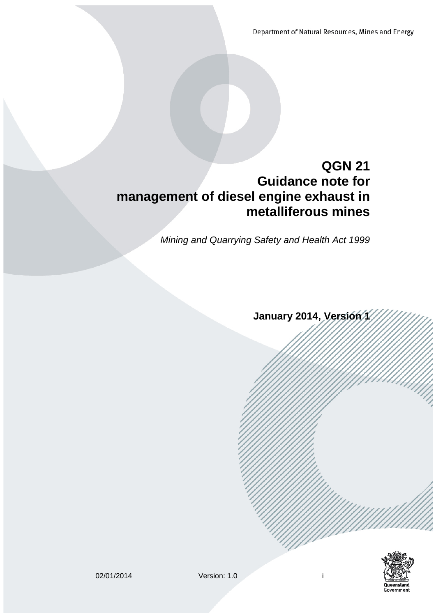Department of Natural Resources, Mines and Energy

# **QGN 21 Guidance note for management of diesel engine exhaust in metalliferous mines**

*Mining and Quarrying Safety and Health Act 1999*

January 2014, Version 1

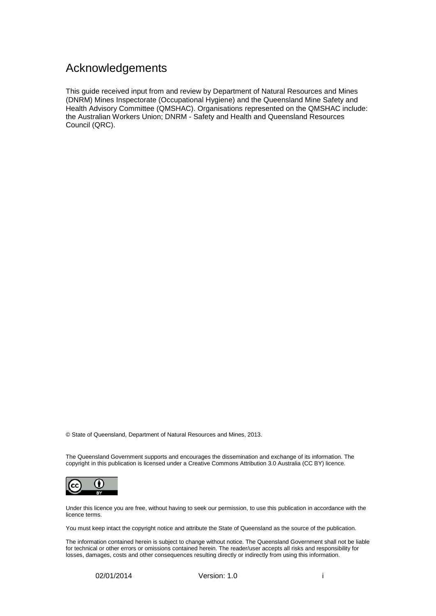## <span id="page-1-0"></span>Acknowledgements

This guide received input from and review by Department of Natural Resources and Mines (DNRM) Mines Inspectorate (Occupational Hygiene) and the Queensland Mine Safety and Health Advisory Committee (QMSHAC). Organisations represented on the QMSHAC include: the Australian Workers Union; DNRM - Safety and Health and Queensland Resources Council (QRC).

© State of Queensland, Department of Natural Resources and Mines, 2013.

The Queensland Government supports and encourages the dissemination and exchange of its information. The copyright in this publication is licensed under a Creative Commons Attribution 3.0 Australia (CC BY) licence.



Under this licence you are free, without having to seek our permission, to use this publication in accordance with the licence terms.

You must keep intact the copyright notice and attribute the State of Queensland as the source of the publication.

The information contained herein is subject to change without notice. The Queensland Government shall not be liable for technical or other errors or omissions contained herein. The reader/user accepts all risks and responsibility for losses, damages, costs and other consequences resulting directly or indirectly from using this information.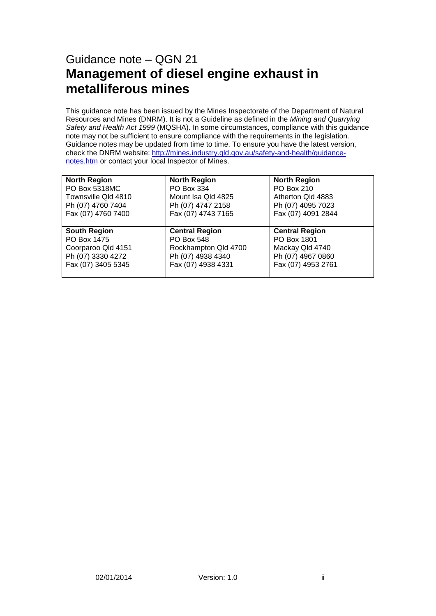# Guidance note – QGN 21 **Management of diesel engine exhaust in metalliferous mines**

This guidance note has been issued by the Mines Inspectorate of the Department of Natural Resources and Mines (DNRM). It is not a Guideline as defined in the *Mining and Quarrying Safety and Health Act 1999* (MQSHA). In some circumstances, compliance with this guidance note may not be sufficient to ensure compliance with the requirements in the legislation. Guidance notes may be updated from time to time. To ensure you have the latest version, check the DNRM website: [http://mines.industry.qld.gov.au/safety-and-health/guidance](http://mines.industry.qld.gov.au/safety-and-health/guidance-notes.htm)[notes.htm](http://mines.industry.qld.gov.au/safety-and-health/guidance-notes.htm) or contact your local Inspector of Mines.

| <b>North Region</b> | <b>North Region</b>   | <b>North Region</b>   |
|---------------------|-----------------------|-----------------------|
| PO Box 5318MC       | PO Box 334            | PO Box 210            |
| Townsville Qld 4810 | Mount Isa Qld 4825    | Atherton Qld 4883     |
| Ph (07) 4760 7404   | Ph (07) 4747 2158     | Ph (07) 4095 7023     |
| Fax (07) 4760 7400  | Fax (07) 4743 7165    | Fax (07) 4091 2844    |
|                     |                       |                       |
| <b>South Region</b> | <b>Central Region</b> | <b>Central Region</b> |
| PO Box 1475         | PO Box 548            | PO Box 1801           |
| Coorparoo Qld 4151  | Rockhampton Qld 4700  | Mackay Qld 4740       |
| Ph (07) 3330 4272   | Ph (07) 4938 4340     | Ph (07) 4967 0860     |
|                     |                       |                       |
| Fax (07) 3405 5345  | Fax (07) 4938 4331    | Fax (07) 4953 2761    |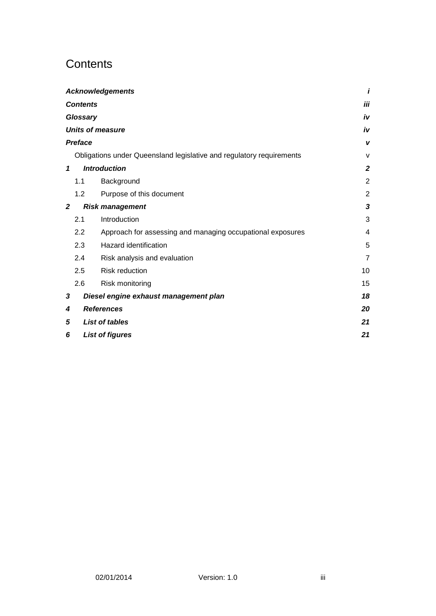# <span id="page-3-0"></span>**Contents**

|                |                 | <b>Acknowledgements</b>                                              | i              |
|----------------|-----------------|----------------------------------------------------------------------|----------------|
|                | <b>Contents</b> |                                                                      | iii            |
|                | Glossary        |                                                                      | iv             |
|                |                 | <b>Units of measure</b>                                              | iv             |
|                | <b>Preface</b>  |                                                                      | v              |
|                |                 | Obligations under Queensland legislative and regulatory requirements | $\mathsf{V}$   |
| $\mathbf{1}$   |                 | <b>Introduction</b>                                                  | $\mathbf{2}$   |
|                | 1.1             | Background                                                           | $\overline{2}$ |
|                | 1.2             | Purpose of this document                                             | $\overline{2}$ |
| $\overline{2}$ |                 | <b>Risk management</b>                                               | 3              |
|                | 2.1             | Introduction                                                         | 3              |
|                | 2.2             | Approach for assessing and managing occupational exposures           | 4              |
|                | 2.3             | Hazard identification                                                | 5              |
|                | 2.4             | Risk analysis and evaluation                                         | $\overline{7}$ |
|                | 2.5             | <b>Risk reduction</b>                                                | 10             |
|                | 2.6             | Risk monitoring                                                      | 15             |
| 3              |                 | Diesel engine exhaust management plan                                | 18             |
| 4              |                 | <b>References</b>                                                    | 20             |
| 5              |                 | <b>List of tables</b>                                                | 21             |
| 6              |                 | <b>List of figures</b>                                               | 21             |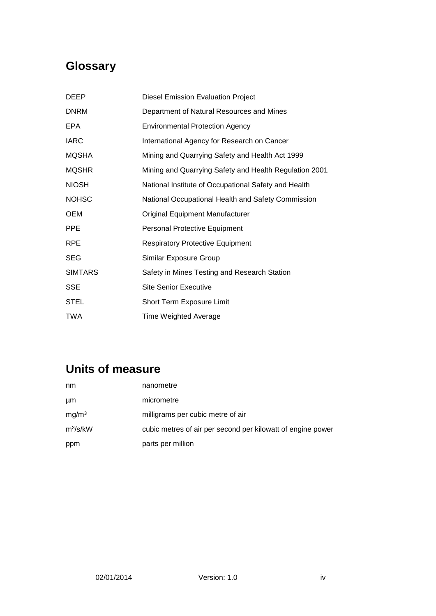# <span id="page-4-0"></span>**Glossary**

| DEEP           | <b>Diesel Emission Evaluation Project</b>              |
|----------------|--------------------------------------------------------|
| <b>DNRM</b>    | Department of Natural Resources and Mines              |
| EPA.           | <b>Environmental Protection Agency</b>                 |
| <b>IARC</b>    | International Agency for Research on Cancer            |
| <b>MQSHA</b>   | Mining and Quarrying Safety and Health Act 1999        |
| <b>MQSHR</b>   | Mining and Quarrying Safety and Health Regulation 2001 |
| <b>NIOSH</b>   | National Institute of Occupational Safety and Health   |
| <b>NOHSC</b>   | National Occupational Health and Safety Commission     |
| <b>OEM</b>     | Original Equipment Manufacturer                        |
| <b>PPE</b>     | <b>Personal Protective Equipment</b>                   |
| <b>RPE</b>     | <b>Respiratory Protective Equipment</b>                |
| <b>SEG</b>     | Similar Exposure Group                                 |
| <b>SIMTARS</b> | Safety in Mines Testing and Research Station           |
| SSE            | Site Senior Executive                                  |
| <b>STEL</b>    | Short Term Exposure Limit                              |
| <b>TWA</b>     | Time Weighted Average                                  |
|                |                                                        |

# <span id="page-4-1"></span>**Units of measure**

| nm                | nanometre                                                   |
|-------------------|-------------------------------------------------------------|
| μm                | micrometre                                                  |
| mg/m <sup>3</sup> | milligrams per cubic metre of air                           |
| $m^3$ /s/kW       | cubic metres of air per second per kilowatt of engine power |
| ppm               | parts per million                                           |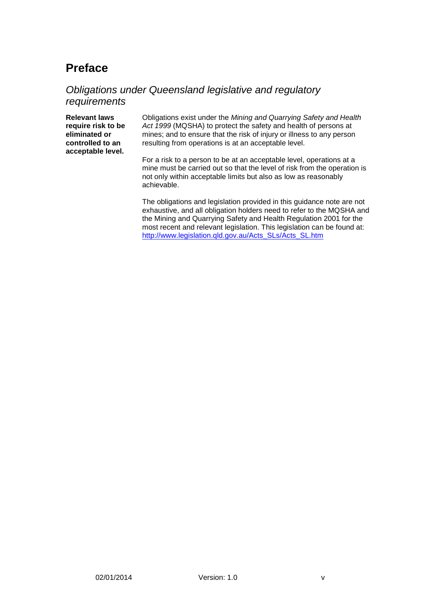# <span id="page-5-0"></span>**Preface**

### <span id="page-5-1"></span>*Obligations under Queensland legislative and regulatory requirements*

**Relevant laws require risk to be eliminated or controlled to an acceptable level.**

Obligations exist under the *Mining and Quarrying Safety and Health Act 1999* (MQSHA) to protect the safety and health of persons at mines; and to ensure that the risk of injury or illness to any person resulting from operations is at an acceptable level.

For a risk to a person to be at an acceptable level, operations at a mine must be carried out so that the level of risk from the operation is not only within acceptable limits but also as low as reasonably achievable.

The obligations and legislation provided in this guidance note are not exhaustive, and all obligation holders need to refer to the MQSHA and the Mining and Quarrying Safety and Health Regulation 2001 for the most recent and relevant legislation. This legislation can be found at: [http://www.legislation.qld.gov.au/Acts\\_SLs/Acts\\_SL.htm](http://www.legislation.qld.gov.au/Acts_SLs/Acts_SL.htm)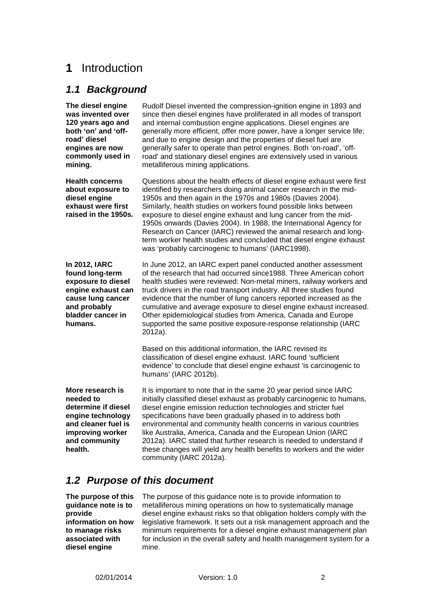## <span id="page-6-0"></span>**1** Introduction

### <span id="page-6-1"></span>*1.1 Background*

**The diesel engine was invented over 120 years ago and both 'on' and 'offroad' diesel engines are now commonly used in mining.**

**Health concerns about exposure to diesel engine exhaust were first raised in the 1950s.** 

**In 2012, IARC found long-term exposure to diesel engine exhaust can cause lung cancer and probably bladder cancer in humans.** 

since then diesel engines have proliferated in all modes of transport and internal combustion engine applications. Diesel engines are generally more efficient, offer more power, have a longer service life; and due to engine design and the properties of diesel fuel are generally safer to operate than petrol engines. Both 'on-road', 'offroad' and stationary diesel engines are extensively used in various metalliferous mining applications.

Rudolf Diesel invented the compression-ignition engine in 1893 and

Questions about the health effects of diesel engine exhaust were first identified by researchers doing animal cancer research in the mid-1950s and then again in the 1970s and 1980s (Davies 2004). Similarly, health studies on workers found possible links between exposure to diesel engine exhaust and lung cancer from the mid-1950s onwards (Davies 2004). In 1988, the International Agency for Research on Cancer (IARC) reviewed the animal research and longterm worker health studies and concluded that diesel engine exhaust was 'probably carcinogenic to humans' (IARC1998).

In June 2012, an IARC expert panel conducted another assessment of the research that had occurred since1988. Three American cohort health studies were reviewed: Non-metal miners, railway workers and truck drivers in the road transport industry. All three studies found evidence that the number of lung cancers reported increased as the cumulative and average exposure to diesel engine exhaust increased. Other epidemiological studies from America, Canada and Europe supported the same positive exposure-response relationship (IARC 2012a).

Based on this additional information, the IARC revised its classification of diesel engine exhaust. IARC found 'sufficient evidence' to conclude that diesel engine exhaust 'is carcinogenic to humans' (IARC 2012b).

**More research is needed to determine if diesel engine technology and cleaner fuel is improving worker and community health.** 

It is important to note that in the same 20 year period since IARC initially classified diesel exhaust as probably carcinogenic to humans, diesel engine emission reduction technologies and stricter fuel specifications have been gradually phased in to address both environmental and community health concerns in various countries like Australia, America, Canada and the European Union (IARC 2012a). IARC stated that further research is needed to understand if these changes will yield any health benefits to workers and the wider community (IARC 2012a).

## <span id="page-6-2"></span>*1.2 Purpose of this document*

**The purpose of this guidance note is to provide information on how to manage risks associated with diesel engine** 

The purpose of this guidance note is to provide information to metalliferous mining operations on how to systematically manage diesel engine exhaust risks so that obligation holders comply with the legislative framework. It sets out a risk management approach and the minimum requirements for a diesel engine exhaust management plan for inclusion in the overall safety and health management system for a mine.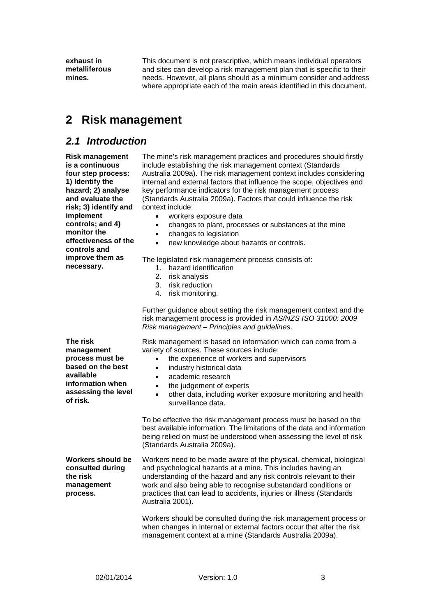**exhaust in metalliferous mines.**

This document is not prescriptive, which means individual operators and sites can develop a risk management plan that is specific to their needs. However, all plans should as a minimum consider and address where appropriate each of the main areas identified in this document.

## <span id="page-7-0"></span>**2 Risk management**

### <span id="page-7-1"></span>*2.1 Introduction*

**Risk management is a continuous four step process: 1) Identify the hazard; 2) analyse and evaluate the risk; 3) identify and implement controls; and 4) monitor the effectiveness of the controls and improve them as necessary.**

The mine's risk management practices and procedures should firstly include establishing the risk management context (Standards Australia 2009a). The risk management context includes considering internal and external factors that influence the scope, objectives and key performance indicators for the risk management process (Standards Australia 2009a). Factors that could influence the risk context include:

- workers exposure data
- changes to plant, processes or substances at the mine
- changes to legislation
- new knowledge about hazards or controls.

The legislated risk management process consists of:

- 1. hazard identification
- 2. risk analysis
- 3. risk reduction
- 4. risk monitoring.

Further guidance about setting the risk management context and the risk management process is provided in *AS/NZS ISO 31000: 2009 Risk management – Principles and guidelines*.

**The risk management process must be based on the best available information when assessing the level of risk.**

Risk management is based on information which can come from a variety of sources. These sources include:

- the experience of workers and supervisors
- industry historical data
- academic research
- the judgement of experts
- other data, including worker exposure monitoring and health surveillance data.

To be effective the risk management process must be based on the best available information. The limitations of the data and information being relied on must be understood when assessing the level of risk (Standards Australia 2009a).

**Workers should be consulted during the risk management process.** Workers need to be made aware of the physical, chemical, biological and psychological hazards at a mine. This includes having an understanding of the hazard and any risk controls relevant to their work and also being able to recognise substandard conditions or practices that can lead to accidents, injuries or illness (Standards Australia 2001).

> Workers should be consulted during the risk management process or when changes in internal or external factors occur that alter the risk management context at a mine (Standards Australia 2009a).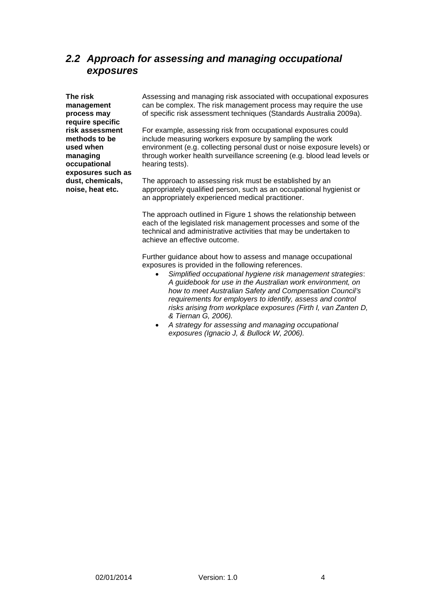## <span id="page-8-0"></span>*2.2 Approach for assessing and managing occupational exposures*

**The risk management process may require specific risk assessment methods to be used when managing occupational exposures such as dust, chemicals, noise, heat etc.**

Assessing and managing risk associated with occupational exposures can be complex. The risk management process may require the use of specific risk assessment techniques (Standards Australia 2009a).

For example, assessing risk from occupational exposures could include measuring workers exposure by sampling the work environment (e.g. collecting personal dust or noise exposure levels) or through worker health surveillance screening (e.g. blood lead levels or hearing tests).

The approach to assessing risk must be established by an appropriately qualified person, such as an occupational hygienist or an appropriately experienced medical practitioner.

The approach outlined in Figure 1 shows the relationship between each of the legislated risk management processes and some of the technical and administrative activities that may be undertaken to achieve an effective outcome.

Further guidance about how to assess and manage occupational exposures is provided in the following references.

- *Simplified occupational hygiene risk management strategies*: *A guidebook for use in the Australian work environment, on how to meet Australian Safety and Compensation Council's requirements for employers to identify, assess and control risks arising from workplace exposures (Firth I, van Zanten D, & Tiernan G, 2006).*
- *A strategy for assessing and managing occupational exposures (Ignacio J, & Bullock W, 2006).*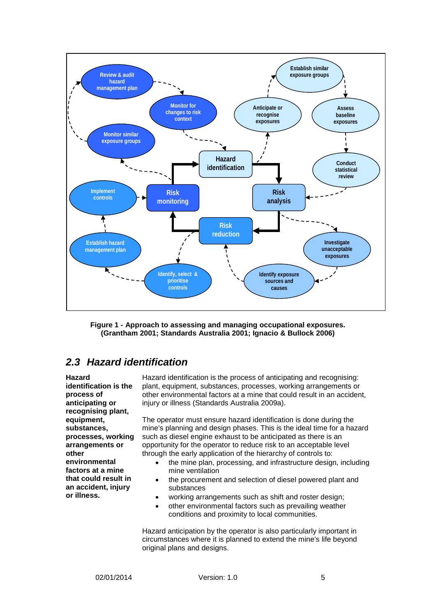

<span id="page-9-1"></span>**Figure 1 - Approach to assessing and managing occupational exposures. (Grantham 2001; Standards Australia 2001; Ignacio & Bullock 2006)**

## <span id="page-9-0"></span>*2.3 Hazard identification*

**Hazard identification is the process of anticipating or recognising plant, equipment, substances, processes, working arrangements or other environmental factors at a mine that could result in an accident, injury or illness.**

Hazard identification is the process of anticipating and recognising: plant, equipment, substances, processes, working arrangements or other environmental factors at a mine that could result in an accident, injury or illness (Standards Australia 2009a).

The operator must ensure hazard identification is done during the mine's planning and design phases. This is the ideal time for a hazard such as diesel engine exhaust to be anticipated as there is an opportunity for the operator to reduce risk to an acceptable level through the early application of the hierarchy of controls to:

- the mine plan, processing, and infrastructure design, including mine ventilation
- the procurement and selection of diesel powered plant and substances
- working arrangements such as shift and roster design;
- other environmental factors such as prevailing weather conditions and proximity to local communities.

Hazard anticipation by the operator is also particularly important in circumstances where it is planned to extend the mine's life beyond original plans and designs.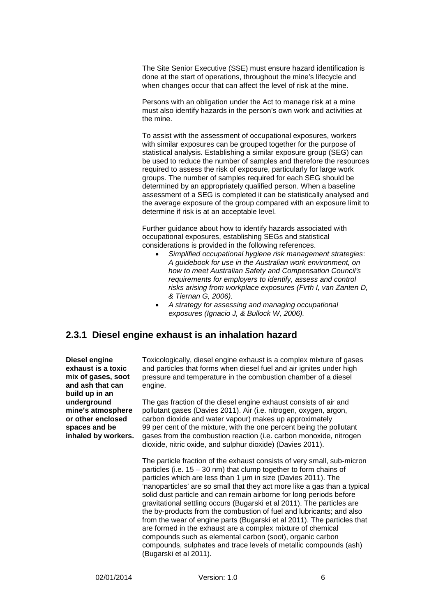The Site Senior Executive (SSE) must ensure hazard identification is done at the start of operations, throughout the mine's lifecycle and when changes occur that can affect the level of risk at the mine.

Persons with an obligation under the Act to manage risk at a mine must also identify hazards in the person's own work and activities at the mine.

To assist with the assessment of occupational exposures, workers with similar exposures can be grouped together for the purpose of statistical analysis. Establishing a similar exposure group (SEG) can be used to reduce the number of samples and therefore the resources required to assess the risk of exposure, particularly for large work groups. The number of samples required for each SEG should be determined by an appropriately qualified person. When a baseline assessment of a SEG is completed it can be statistically analysed and the average exposure of the group compared with an exposure limit to determine if risk is at an acceptable level.

Further guidance about how to identify hazards associated with occupational exposures, establishing SEGs and statistical considerations is provided in the following references.

- *Simplified occupational hygiene risk management strategies*: *A guidebook for use in the Australian work environment, on how to meet Australian Safety and Compensation Council's requirements for employers to identify, assess and control risks arising from workplace exposures (Firth I, van Zanten D, & Tiernan G, 2006).*
- *A strategy for assessing and managing occupational exposures (Ignacio J, & Bullock W, 2006).*

#### **2.3.1 Diesel engine exhaust is an inhalation hazard**

**Diesel engine exhaust is a toxic mix of gases, soot and ash that can build up in an underground mine's atmosphere or other enclosed spaces and be inhaled by workers.** Toxicologically, diesel engine exhaust is a complex mixture of gases and particles that forms when diesel fuel and air ignites under high pressure and temperature in the combustion chamber of a diesel engine.

The gas fraction of the diesel engine exhaust consists of air and pollutant gases (Davies 2011). Air (i.e. nitrogen, oxygen, argon, carbon dioxide and water vapour) makes up approximately 99 per cent of the mixture, with the one percent being the pollutant gases from the combustion reaction (i.e. carbon monoxide, nitrogen dioxide, nitric oxide, and sulphur dioxide) (Davies 2011).

The particle fraction of the exhaust consists of very small, sub-micron particles (i.e.  $15 - 30$  nm) that clump together to form chains of particles which are less than 1 µm in size (Davies 2011). The 'nanoparticles' are so small that they act more like a gas than a typical solid dust particle and can remain airborne for long periods before gravitational settling occurs (Bugarski et al 2011). The particles are the by-products from the combustion of fuel and lubricants; and also from the wear of engine parts (Bugarski et al 2011). The particles that are formed in the exhaust are a complex mixture of chemical compounds such as elemental carbon (soot), organic carbon compounds, sulphates and trace levels of metallic compounds (ash) (Bugarski et al 2011).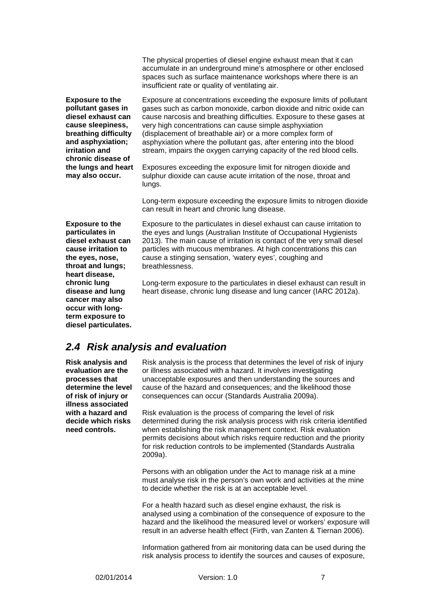The physical properties of diesel engine exhaust mean that it can accumulate in an underground mine's atmosphere or other enclosed spaces such as surface maintenance workshops where there is an insufficient rate or quality of ventilating air.

**Exposure to the pollutant gases in diesel exhaust can cause sleepiness, breathing difficulty and asphyxiation; irritation and chronic disease of the lungs and heart may also occur.**

Exposure at concentrations exceeding the exposure limits of pollutant gases such as carbon monoxide, carbon dioxide and nitric oxide can cause narcosis and breathing difficulties. Exposure to these gases at very high concentrations can cause simple asphyxiation (displacement of breathable air) or a more complex form of asphyxiation where the pollutant gas, after entering into the blood stream, impairs the oxygen carrying capacity of the red blood cells.

Exposures exceeding the exposure limit for nitrogen dioxide and sulphur dioxide can cause acute irritation of the nose, throat and lungs.

Long-term exposure exceeding the exposure limits to nitrogen dioxide can result in heart and chronic lung disease.

**Exposure to the particulates in diesel exhaust can cause irritation to the eyes, nose, throat and lungs; heart disease, chronic lung disease and lung cancer may also occur with longterm exposure to diesel particulates.**

Exposure to the particulates in diesel exhaust can cause irritation to the eyes and lungs (Australian Institute of Occupational Hygienists 2013). The main cause of irritation is contact of the very small diesel particles with mucous membranes. At high concentrations this can cause a stinging sensation, 'watery eyes', coughing and breathlessness.

Long-term exposure to the particulates in diesel exhaust can result in heart disease, chronic lung disease and lung cancer (IARC 2012a).

### <span id="page-11-0"></span>*2.4 Risk analysis and evaluation*

**Risk analysis and evaluation are the processes that determine the level of risk of injury or illness associated with a hazard and decide which risks need controls.**

Risk analysis is the process that determines the level of risk of injury or illness associated with a hazard. It involves investigating unacceptable exposures and then understanding the sources and cause of the hazard and consequences; and the likelihood those consequences can occur (Standards Australia 2009a).

Risk evaluation is the process of comparing the level of risk determined during the risk analysis process with risk criteria identified when establishing the risk management context. Risk evaluation permits decisions about which risks require reduction and the priority for risk reduction controls to be implemented (Standards Australia 2009a).

Persons with an obligation under the Act to manage risk at a mine must analyse risk in the person's own work and activities at the mine to decide whether the risk is at an acceptable level.

For a health hazard such as diesel engine exhaust, the risk is analysed using a combination of the consequence of exposure to the hazard and the likelihood the measured level or workers' exposure will result in an adverse health effect (Firth, van Zanten & Tiernan 2006).

Information gathered from air monitoring data can be used during the risk analysis process to identify the sources and causes of exposure,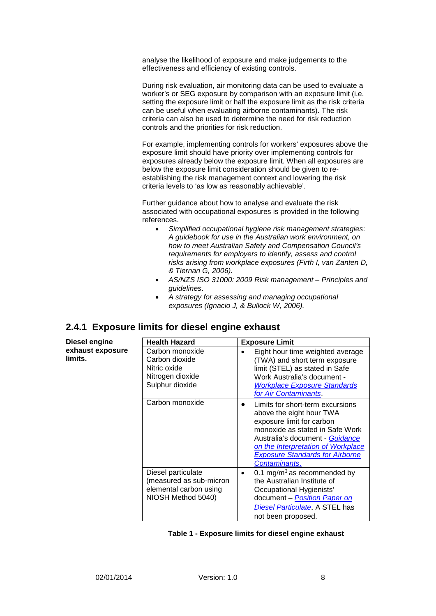analyse the likelihood of exposure and make judgements to the effectiveness and efficiency of existing controls.

During risk evaluation, air monitoring data can be used to evaluate a worker's or SEG exposure by comparison with an exposure limit (i.e. setting the exposure limit or half the exposure limit as the risk criteria can be useful when evaluating airborne contaminants). The risk criteria can also be used to determine the need for risk reduction controls and the priorities for risk reduction.

For example, implementing controls for workers' exposures above the exposure limit should have priority over implementing controls for exposures already below the exposure limit. When all exposures are below the exposure limit consideration should be given to reestablishing the risk management context and lowering the risk criteria levels to 'as low as reasonably achievable'.

Further guidance about how to analyse and evaluate the risk associated with occupational exposures is provided in the following references.

- *Simplified occupational hygiene risk management strategies*: *A guidebook for use in the Australian work environment, on how to meet Australian Safety and Compensation Council's requirements for employers to identify, assess and control risks arising from workplace exposures (Firth I, van Zanten D, & Tiernan G, 2006).*
- *AS/NZS ISO 31000: 2009 Risk management – Principles and guidelines*.
- *A strategy for assessing and managing occupational exposures (Ignacio J, & Bullock W, 2006).*

## **2.4.1 Exposure limits for diesel engine exhaust**

| <b>Health Hazard</b>                                                                          | <b>Exposure Limit</b>                                                                                                                                                                                                                                            |
|-----------------------------------------------------------------------------------------------|------------------------------------------------------------------------------------------------------------------------------------------------------------------------------------------------------------------------------------------------------------------|
| Carbon monoxide<br>Carbon dioxide<br>Nitric oxide<br>Nitrogen dioxide<br>Sulphur dioxide      | Eight hour time weighted average<br>(TWA) and short term exposure<br>limit (STEL) as stated in Safe<br>Work Australia's document -<br><b>Workplace Exposure Standards</b><br>for Air Contaminants                                                                |
| Carbon monoxide                                                                               | Limits for short-term excursions<br>above the eight hour TWA<br>exposure limit for carbon<br>monoxide as stated in Safe Work<br>Australia's document - Guidance<br>on the Interpretation of Workplace<br><b>Exposure Standards for Airborne</b><br>Contaminants. |
| Diesel particulate<br>(measured as sub-micron<br>elemental carbon using<br>NIOSH Method 5040) | 0.1 mg/m <sup>3</sup> as recommended by<br>the Australian Institute of<br>Occupational Hygienists'<br>document - Position Paper on<br>Diesel Particulate. A STEL has<br>not been proposed.                                                                       |

<span id="page-12-0"></span>

**Diesel engine exhaust exposure** 

**limits.**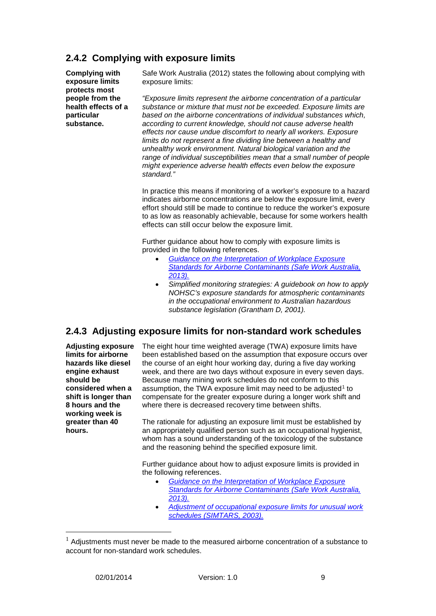### **2.4.2 Complying with exposure limits**

**Complying with exposure limits protects most people from the health effects of a particular substance.**

Safe Work Australia (2012) states the following about complying with exposure limits:

*"Exposure limits represent the airborne concentration of a particular substance or mixture that must not be exceeded. Exposure limits are based on the airborne concentrations of individual substances which, according to current knowledge, should not cause adverse health effects nor cause undue discomfort to nearly all workers. Exposure limits do not represent a fine dividing line between a healthy and unhealthy work environment. Natural biological variation and the range of individual susceptibilities mean that a small number of people might experience adverse health effects even below the exposure standard."*

In practice this means if monitoring of a worker's exposure to a hazard indicates airborne concentrations are below the exposure limit, every effort should still be made to continue to reduce the worker's exposure to as low as reasonably achievable, because for some workers health effects can still occur below the exposure limit.

Further guidance about how to comply with exposure limits is provided in the following references.

- *[Guidance on the Interpretation of Workplace Exposure](http://www.safeworkaustralia.gov.au/sites/SWA/about/Publications/Documents/771/Guidance-interpretation-workplace-exposure-standards.pdf)  [Standards for Airborne Contaminants](http://www.safeworkaustralia.gov.au/sites/SWA/about/Publications/Documents/771/Guidance-interpretation-workplace-exposure-standards.pdf) (Safe Work Australia, [2013\).](http://www.safeworkaustralia.gov.au/sites/SWA/about/Publications/Documents/771/Guidance-interpretation-workplace-exposure-standards.pdf)*
- *Simplified monitoring strategies: A guidebook on how to apply NOHSC's exposure standards for atmospheric contaminants in the occupational environment to Australian hazardous substance legislation (Grantham D, 2001).*

### **2.4.3 Adjusting exposure limits for non-standard work schedules**

**Adjusting exposure limits for airborne hazards like diesel engine exhaust should be considered when a shift is longer than 8 hours and the working week is greater than 40 hours.**

The eight hour time weighted average (TWA) exposure limits have been established based on the assumption that exposure occurs over the course of an eight hour working day, during a five day working week, and there are two days without exposure in every seven days. Because many mining work schedules do not conform to this assumption, the TWA exposure limit may need to be adjusted<sup>[1](#page-13-0)</sup> to compensate for the greater exposure during a longer work shift and where there is decreased recovery time between shifts.

The rationale for adjusting an exposure limit must be established by an appropriately qualified person such as an occupational hygienist, whom has a sound understanding of the toxicology of the substance and the reasoning behind the specified exposure limit.

Further guidance about how to adjust exposure limits is provided in the following references.

- *[Guidance on the Interpretation of Workplace Exposure](http://www.safeworkaustralia.gov.au/sites/SWA/about/Publications/Documents/771/Guidance-interpretation-workplace-exposure-standards.pdf)  [Standards for Airborne Contaminants](http://www.safeworkaustralia.gov.au/sites/SWA/about/Publications/Documents/771/Guidance-interpretation-workplace-exposure-standards.pdf) (Safe Work Australia, [2013\).](http://www.safeworkaustralia.gov.au/sites/SWA/about/Publications/Documents/771/Guidance-interpretation-workplace-exposure-standards.pdf)*
- *[Adjustment of occupational exposure limits for unusual work](http://mines.industry.qld.gov.au/assets/inspectorate/exp_standards_adj.pdf)  schedules [\(SIMTARS, 2003\).](http://mines.industry.qld.gov.au/assets/inspectorate/exp_standards_adj.pdf)*

<span id="page-13-0"></span> <sup>1</sup> Adjustments must never be made to the measured airborne concentration of a substance to account for non-standard work schedules.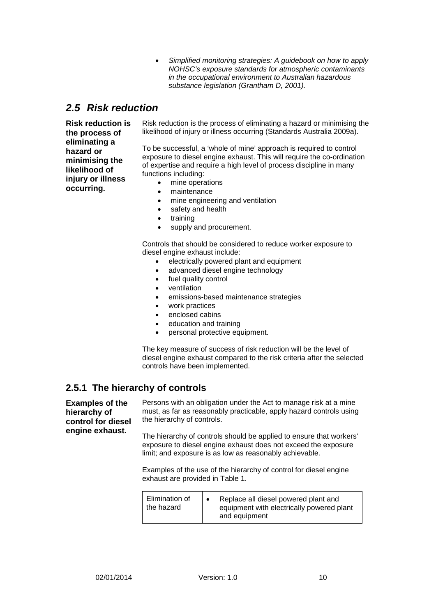• *Simplified monitoring strategies: A guidebook on how to apply NOHSC's exposure standards for atmospheric contaminants in the occupational environment to Australian hazardous substance legislation (Grantham D, 2001).* 

## <span id="page-14-0"></span>*2.5 Risk reduction*

**Risk reduction is the process of eliminating a hazard or minimising the likelihood of injury or illness occurring.**

Risk reduction is the process of eliminating a hazard or minimising the likelihood of injury or illness occurring (Standards Australia 2009a).

To be successful, a 'whole of mine' approach is required to control exposure to diesel engine exhaust. This will require the co-ordination of expertise and require a high level of process discipline in many functions including:

- mine operations
- maintenance
- mine engineering and ventilation
- safety and health
- training
- supply and procurement.

Controls that should be considered to reduce worker exposure to diesel engine exhaust include:

- electrically powered plant and equipment
- advanced diesel engine technology
- fuel quality control
- ventilation
- emissions-based maintenance strategies
- work practices
- enclosed cabins
- education and training
- personal protective equipment.

The key measure of success of risk reduction will be the level of diesel engine exhaust compared to the risk criteria after the selected controls have been implemented.

#### **2.5.1 The hierarchy of controls**

**Examples of the hierarchy of control for diesel engine exhaust.**

Persons with an obligation under the Act to manage risk at a mine must, as far as reasonably practicable, apply hazard controls using the hierarchy of controls.

The hierarchy of controls should be applied to ensure that workers' exposure to diesel engine exhaust does not exceed the exposure limit; and exposure is as low as reasonably achievable.

Examples of the use of the hierarchy of control for diesel engine exhaust are provided in Table 1.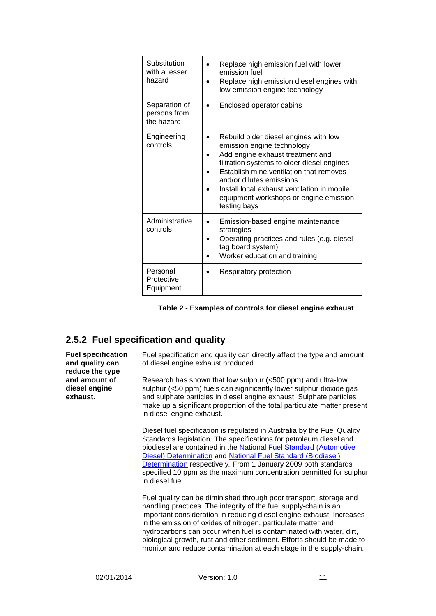| Substitution<br>with a lesser<br>hazard     | Replace high emission fuel with lower<br>emission fuel<br>Replace high emission diesel engines with<br>low emission engine technology                                                                                                                                                                                                 |
|---------------------------------------------|---------------------------------------------------------------------------------------------------------------------------------------------------------------------------------------------------------------------------------------------------------------------------------------------------------------------------------------|
| Separation of<br>persons from<br>the hazard | Enclosed operator cabins                                                                                                                                                                                                                                                                                                              |
| Engineering<br>controls                     | Rebuild older diesel engines with low<br>emission engine technology<br>Add engine exhaust treatment and<br>filtration systems to older diesel engines<br>Establish mine ventilation that removes<br>and/or dilutes emissions<br>Install local exhaust ventilation in mobile<br>equipment workshops or engine emission<br>testing bays |
| Administrative<br>controls                  | Emission-based engine maintenance<br>strategies<br>Operating practices and rules (e.g. diesel<br>tag board system)<br>Worker education and training                                                                                                                                                                                   |
| Personal<br>Protective<br>Equipment         | Respiratory protection                                                                                                                                                                                                                                                                                                                |

<span id="page-15-0"></span>

### **2.5.2 Fuel specification and quality**

**Fuel specification and quality can reduce the type and amount of diesel engine exhaust.**

Fuel specification and quality can directly affect the type and amount of diesel engine exhaust produced.

Research has shown that low sulphur (<500 ppm) and ultra-low sulphur (<50 ppm) fuels can significantly lower sulphur dioxide gas and sulphate particles in diesel engine exhaust. Sulphate particles make up a significant proportion of the total particulate matter present in diesel engine exhaust.

Diesel fuel specification is regulated in Australia by the Fuel Quality Standards legislation. The specifications for petroleum diesel and biodiesel are contained in the [National Fuel Standard \(Automotive](http://www.comlaw.gov.au/Details/F2009C00145)  [Diesel\) Determination](http://www.comlaw.gov.au/Details/F2009C00145) and [National Fuel Standard \(Biodiesel\)](http://www.comlaw.gov.au/Details/F2009C00146)  [Determination](http://www.comlaw.gov.au/Details/F2009C00146) respectively*.* From 1 January 2009 both standards specified 10 ppm as the maximum concentration permitted for sulphur in diesel fuel.

Fuel quality can be diminished through poor transport, storage and handling practices. The integrity of the fuel supply-chain is an important consideration in reducing diesel engine exhaust. Increases in the emission of oxides of nitrogen, particulate matter and hydrocarbons can occur when fuel is contaminated with water, dirt, biological growth, rust and other sediment. Efforts should be made to monitor and reduce contamination at each stage in the supply-chain.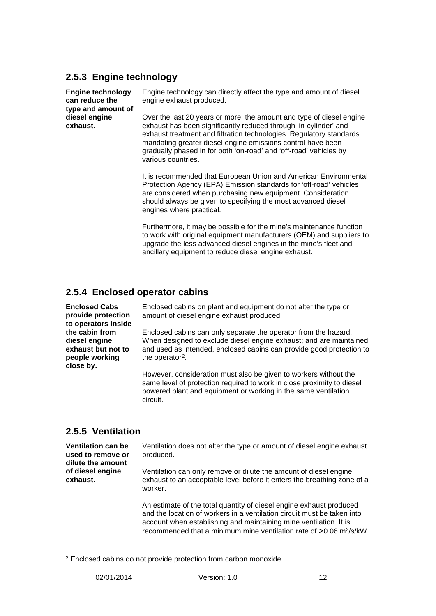#### **2.5.3 Engine technology**

**Engine technology can reduce the type and amount of diesel engine exhaust.**

Engine technology can directly affect the type and amount of diesel engine exhaust produced.

Over the last 20 years or more, the amount and type of diesel engine exhaust has been significantly reduced through 'in-cylinder' and exhaust treatment and filtration technologies. Regulatory standards mandating greater diesel engine emissions control have been gradually phased in for both 'on-road' and 'off-road' vehicles by various countries.

It is recommended that European Union and American Environmental Protection Agency (EPA) Emission standards for 'off-road' vehicles are considered when purchasing new equipment. Consideration should always be given to specifying the most advanced diesel engines where practical.

Furthermore, it may be possible for the mine's maintenance function to work with original equipment manufacturers (OEM) and suppliers to upgrade the less advanced diesel engines in the mine's fleet and ancillary equipment to reduce diesel engine exhaust.

### **2.5.4 Enclosed operator cabins**

**Enclosed Cabs provide protection to operators inside the cabin from diesel engine exhaust but not to people working close by.**

Enclosed cabins on plant and equipment do not alter the type or amount of diesel engine exhaust produced.

Enclosed cabins can only separate the operator from the hazard. When designed to exclude diesel engine exhaust; and are maintained and used as intended, enclosed cabins can provide good protection to the operator<sup>[2](#page-16-0)</sup>.

However, consideration must also be given to workers without the same level of protection required to work in close proximity to diesel powered plant and equipment or working in the same ventilation circuit.

## **2.5.5 Ventilation**

**Ventilation can be used to remove or dilute the amount of diesel engine exhaust.**

Ventilation does not alter the type or amount of diesel engine exhaust produced.

Ventilation can only remove or dilute the amount of diesel engine exhaust to an acceptable level before it enters the breathing zone of a worker.

An estimate of the total quantity of diesel engine exhaust produced and the location of workers in a ventilation circuit must be taken into account when establishing and maintaining mine ventilation. It is recommended that a minimum mine ventilation rate of >0.06 m<sup>3</sup>/s/kW

<span id="page-16-0"></span> $\overline{a}$ <sup>2</sup> Enclosed cabins do not provide protection from carbon monoxide.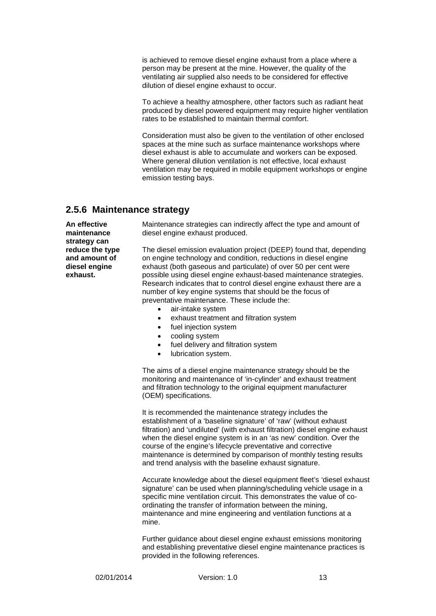is achieved to remove diesel engine exhaust from a place where a person may be present at the mine. However, the quality of the ventilating air supplied also needs to be considered for effective dilution of diesel engine exhaust to occur.

To achieve a healthy atmosphere, other factors such as radiant heat produced by diesel powered equipment may require higher ventilation rates to be established to maintain thermal comfort.

Consideration must also be given to the ventilation of other enclosed spaces at the mine such as surface maintenance workshops where diesel exhaust is able to accumulate and workers can be exposed. Where general dilution ventilation is not effective, local exhaust ventilation may be required in mobile equipment workshops or engine emission testing bays.

#### **2.5.6 Maintenance strategy**

**An effective maintenance strategy can reduce the type and amount of diesel engine exhaust.**

Maintenance strategies can indirectly affect the type and amount of diesel engine exhaust produced.

The diesel emission evaluation project (DEEP) found that, depending on engine technology and condition, reductions in diesel engine exhaust (both gaseous and particulate) of over 50 per cent were possible using diesel engine exhaust-based maintenance strategies. Research indicates that to control diesel engine exhaust there are a number of key engine systems that should be the focus of preventative maintenance. These include the:

- air-intake system
- exhaust treatment and filtration system
- fuel injection system
- cooling system
- fuel delivery and filtration system
- lubrication system.

The aims of a diesel engine maintenance strategy should be the monitoring and maintenance of 'in-cylinder' and exhaust treatment and filtration technology to the original equipment manufacturer (OEM) specifications.

It is recommended the maintenance strategy includes the establishment of a 'baseline signature' of 'raw' (without exhaust filtration) and 'undiluted' (with exhaust filtration) diesel engine exhaust when the diesel engine system is in an 'as new' condition. Over the course of the engine's lifecycle preventative and corrective maintenance is determined by comparison of monthly testing results and trend analysis with the baseline exhaust signature.

Accurate knowledge about the diesel equipment fleet's 'diesel exhaust signature' can be used when planning/scheduling vehicle usage in a specific mine ventilation circuit. This demonstrates the value of coordinating the transfer of information between the mining, maintenance and mine engineering and ventilation functions at a mine.

Further guidance about diesel engine exhaust emissions monitoring and establishing preventative diesel engine maintenance practices is provided in the following references.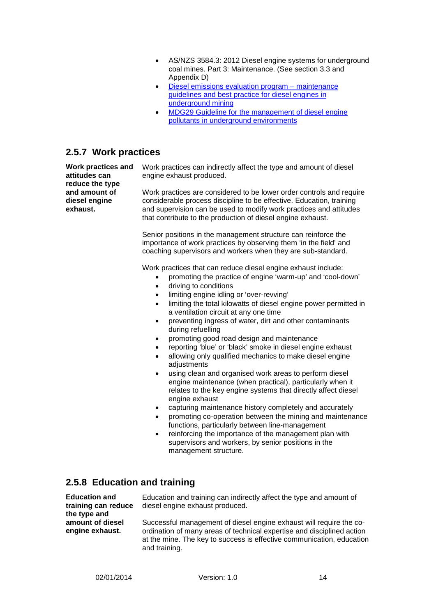- AS/NZS 3584.3: 2012 Diesel engine systems for underground coal mines. Part 3: Maintenance. (See section 3.3 and Appendix D)
- Diesel emissions evaluation program maintenance [guidelines and best practice for diesel engines in](http://camiro.org/DEEP/Project_Reports/mtce_guidelines.pdf)  [underground mining](http://camiro.org/DEEP/Project_Reports/mtce_guidelines.pdf)
- [MDG29 Guideline for the management of diesel engine](http://www.resources.nsw.gov.au/__data/assets/pdf_file/0011/419465/MDG-29.pdf)  [pollutants in underground environments](http://www.resources.nsw.gov.au/__data/assets/pdf_file/0011/419465/MDG-29.pdf)

#### **2.5.7 Work practices**

**Work practices and attitudes can reduce the type and amount of diesel engine exhaust.**

Work practices can indirectly affect the type and amount of diesel engine exhaust produced.

Work practices are considered to be lower order controls and require considerable process discipline to be effective. Education, training and supervision can be used to modify work practices and attitudes that contribute to the production of diesel engine exhaust.

Senior positions in the management structure can reinforce the importance of work practices by observing them 'in the field' and coaching supervisors and workers when they are sub-standard.

Work practices that can reduce diesel engine exhaust include:

- promoting the practice of engine 'warm-up' and 'cool-down'
- driving to conditions
- limiting engine idling or 'over-revving'
- limiting the total kilowatts of diesel engine power permitted in a ventilation circuit at any one time
- preventing ingress of water, dirt and other contaminants during refuelling
- promoting good road design and maintenance
- reporting 'blue' or 'black' smoke in diesel engine exhaust
- allowing only qualified mechanics to make diesel engine adjustments
- using clean and organised work areas to perform diesel engine maintenance (when practical), particularly when it relates to the key engine systems that directly affect diesel engine exhaust
- capturing maintenance history completely and accurately
- promoting co-operation between the mining and maintenance functions, particularly between line-management
- reinforcing the importance of the management plan with supervisors and workers, by senior positions in the management structure.

#### **2.5.8 Education and training**

**Education and training can reduce the type and amount of diesel engine exhaust.**

Education and training can indirectly affect the type and amount of diesel engine exhaust produced.

Successful management of diesel engine exhaust will require the coordination of many areas of technical expertise and disciplined action at the mine. The key to success is effective communication, education and training.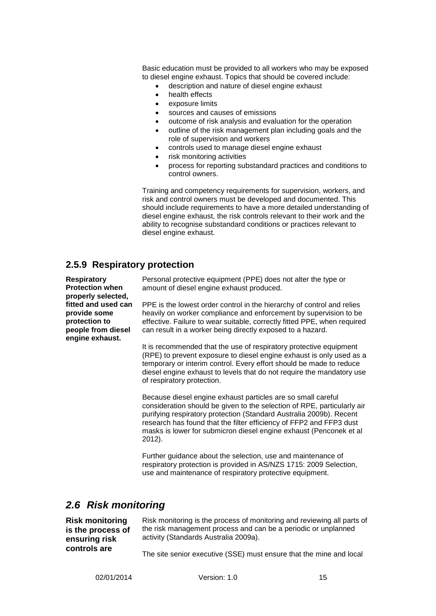Basic education must be provided to all workers who may be exposed to diesel engine exhaust. Topics that should be covered include:

- description and nature of diesel engine exhaust
- health effects
- exposure limits
- sources and causes of emissions
- outcome of risk analysis and evaluation for the operation
- outline of the risk management plan including goals and the role of supervision and workers
- controls used to manage diesel engine exhaust
- risk monitoring activities
- process for reporting substandard practices and conditions to control owners.

Training and competency requirements for supervision, workers, and risk and control owners must be developed and documented. This should include requirements to have a more detailed understanding of diesel engine exhaust, the risk controls relevant to their work and the ability to recognise substandard conditions or practices relevant to diesel engine exhaust.

#### **2.5.9 Respiratory protection**

**Respiratory Protection when properly selected, fitted and used can provide some protection to people from diesel engine exhaust.**

Personal protective equipment (PPE) does not alter the type or amount of diesel engine exhaust produced.

PPE is the lowest order control in the hierarchy of control and relies heavily on worker compliance and enforcement by supervision to be effective. Failure to wear suitable, correctly fitted PPE, when required can result in a worker being directly exposed to a hazard.

It is recommended that the use of respiratory protective equipment (RPE) to prevent exposure to diesel engine exhaust is only used as a temporary or interim control. Every effort should be made to reduce diesel engine exhaust to levels that do not require the mandatory use of respiratory protection.

Because diesel engine exhaust particles are so small careful consideration should be given to the selection of RPE, particularly air purifying respiratory protection (Standard Australia 2009b). Recent research has found that the filter efficiency of FFP2 and FFP3 dust masks is lower for submicron diesel engine exhaust (Penconek et al 2012).

Further guidance about the selection, use and maintenance of respiratory protection is provided in AS/NZS 1715: 2009 Selection, use and maintenance of respiratory protective equipment.

### <span id="page-19-0"></span>*2.6 Risk monitoring*

**Risk monitoring is the process of ensuring risk controls are** 

Risk monitoring is the process of monitoring and reviewing all parts of the risk management process and can be a periodic or unplanned activity (Standards Australia 2009a).

The site senior executive (SSE) must ensure that the mine and local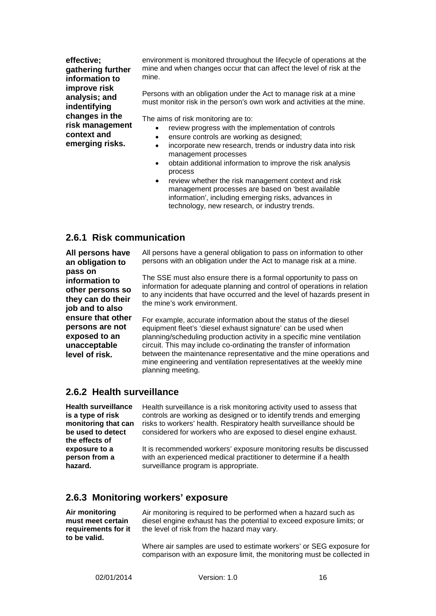**effective; gathering further information to improve risk analysis; and indentifying changes in the risk management context and emerging risks.**

environment is monitored throughout the lifecycle of operations at the mine and when changes occur that can affect the level of risk at the mine.

Persons with an obligation under the Act to manage risk at a mine must monitor risk in the person's own work and activities at the mine.

The aims of risk monitoring are to:

- review progress with the implementation of controls
- ensure controls are working as designed;
- incorporate new research, trends or industry data into risk management processes
- obtain additional information to improve the risk analysis process
- review whether the risk management context and risk management processes are based on 'best available information', including emerging risks, advances in technology, new research, or industry trends.

#### **2.6.1 Risk communication**

**All persons have an obligation to pass on information to other persons so they can do their job and to also ensure that other persons are not exposed to an unacceptable level of risk.**

All persons have a general obligation to pass on information to other persons with an obligation under the Act to manage risk at a mine.

The SSE must also ensure there is a formal opportunity to pass on information for adequate planning and control of operations in relation to any incidents that have occurred and the level of hazards present in the mine's work environment.

For example, accurate information about the status of the diesel equipment fleet's 'diesel exhaust signature' can be used when planning/scheduling production activity in a specific mine ventilation circuit. This may include co-ordinating the transfer of information between the maintenance representative and the mine operations and mine engineering and ventilation representatives at the weekly mine planning meeting.

#### **2.6.2 Health surveillance**

**Health surveillance is a type of risk monitoring that can be used to detect the effects of exposure to a person from a hazard.**

Health surveillance is a risk monitoring activity used to assess that controls are working as designed or to identify trends and emerging risks to workers' health. Respiratory health surveillance should be considered for workers who are exposed to diesel engine exhaust.

It is recommended workers' exposure monitoring results be discussed with an experienced medical practitioner to determine if a health surveillance program is appropriate.

#### **2.6.3 Monitoring workers' exposure**

**Air monitoring must meet certain requirements for it to be valid.**

Air monitoring is required to be performed when a hazard such as diesel engine exhaust has the potential to exceed exposure limits; or the level of risk from the hazard may vary.

Where air samples are used to estimate workers' or SEG exposure for comparison with an exposure limit, the monitoring must be collected in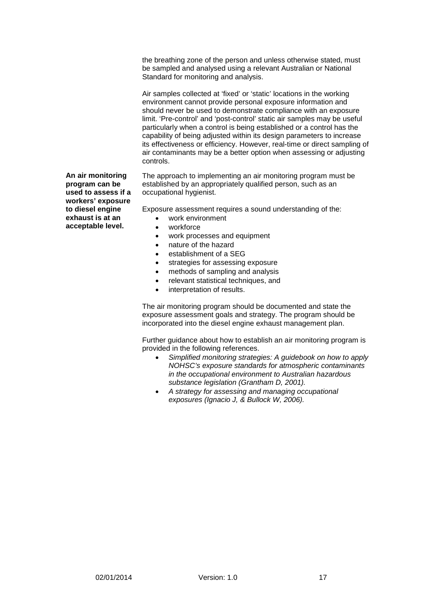the breathing zone of the person and unless otherwise stated, must be sampled and analysed using a relevant Australian or National Standard for monitoring and analysis.

Air samples collected at 'fixed' or 'static' locations in the working environment cannot provide personal exposure information and should never be used to demonstrate compliance with an exposure limit. 'Pre-control' and 'post-control' static air samples may be useful particularly when a control is being established or a control has the capability of being adjusted within its design parameters to increase its effectiveness or efficiency. However, real-time or direct sampling of air contaminants may be a better option when assessing or adjusting controls.

The approach to implementing an air monitoring program must be established by an appropriately qualified person, such as an occupational hygienist.

Exposure assessment requires a sound understanding of the:

- work environment
- workforce
- work processes and equipment
- nature of the hazard
- establishment of a SEG
- strategies for assessing exposure
- methods of sampling and analysis
- relevant statistical techniques, and
- interpretation of results.

The air monitoring program should be documented and state the exposure assessment goals and strategy. The program should be incorporated into the diesel engine exhaust management plan.

Further guidance about how to establish an air monitoring program is provided in the following references.

- *Simplified monitoring strategies: A guidebook on how to apply NOHSC's exposure standards for atmospheric contaminants in the occupational environment to Australian hazardous substance legislation (Grantham D, 2001).*
- *A strategy for assessing and managing occupational exposures (Ignacio J, & Bullock W, 2006).*

**An air monitoring program can be used to assess if a workers' exposure to diesel engine exhaust is at an acceptable level.**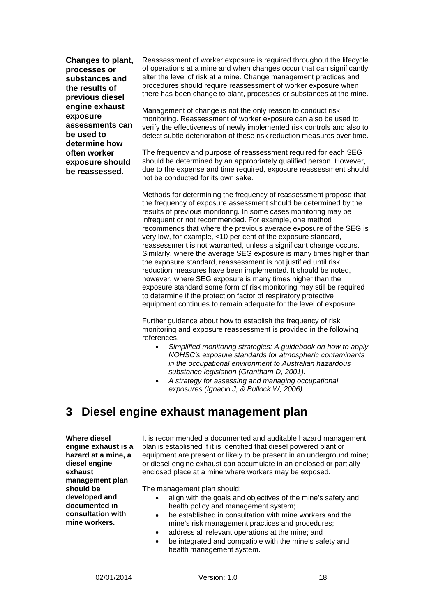**Changes to plant, processes or substances and the results of previous diesel engine exhaust exposure assessments can be used to determine how often worker exposure should be reassessed.**

Reassessment of worker exposure is required throughout the lifecycle of operations at a mine and when changes occur that can significantly alter the level of risk at a mine. Change management practices and procedures should require reassessment of worker exposure when there has been change to plant, processes or substances at the mine.

Management of change is not the only reason to conduct risk monitoring. Reassessment of worker exposure can also be used to verify the effectiveness of newly implemented risk controls and also to detect subtle deterioration of these risk reduction measures over time.

The frequency and purpose of reassessment required for each SEG should be determined by an appropriately qualified person. However, due to the expense and time required, exposure reassessment should not be conducted for its own sake.

Methods for determining the frequency of reassessment propose that the frequency of exposure assessment should be determined by the results of previous monitoring. In some cases monitoring may be infrequent or not recommended. For example, one method recommends that where the previous average exposure of the SEG is very low, for example, <10 per cent of the exposure standard, reassessment is not warranted, unless a significant change occurs. Similarly, where the average SEG exposure is many times higher than the exposure standard, reassessment is not justified until risk reduction measures have been implemented. It should be noted, however, where SEG exposure is many times higher than the exposure standard some form of risk monitoring may still be required to determine if the protection factor of respiratory protective equipment continues to remain adequate for the level of exposure.

Further guidance about how to establish the frequency of risk monitoring and exposure reassessment is provided in the following references.

- *Simplified monitoring strategies: A guidebook on how to apply NOHSC's exposure standards for atmospheric contaminants in the occupational environment to Australian hazardous substance legislation (Grantham D, 2001).*
- *A strategy for assessing and managing occupational exposures (Ignacio J, & Bullock W, 2006).*

# <span id="page-22-0"></span>**3 Diesel engine exhaust management plan**

**Where diesel engine exhaust is a hazard at a mine, a diesel engine exhaust management plan should be developed and documented in consultation with mine workers.**

It is recommended a documented and auditable hazard management plan is established if it is identified that diesel powered plant or equipment are present or likely to be present in an underground mine; or diesel engine exhaust can accumulate in an enclosed or partially enclosed place at a mine where workers may be exposed.

The management plan should:

- align with the goals and objectives of the mine's safety and health policy and management system;
- be established in consultation with mine workers and the mine's risk management practices and procedures;
- address all relevant operations at the mine; and
- be integrated and compatible with the mine's safety and health management system.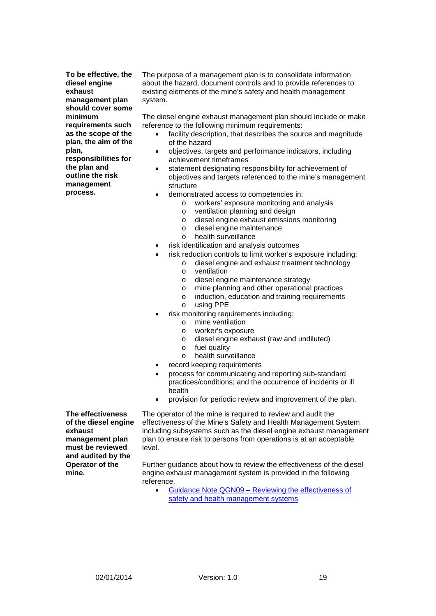**To be effective, the diesel engine exhaust management plan should cover some minimum requirements such as the scope of the plan, the aim of the plan, responsibilities for** 

**the plan and outline the risk management process.**

The purpose of a management plan is to consolidate information about the hazard, document controls and to provide references to existing elements of the mine's safety and health management system.

The diesel engine exhaust management plan should include or make reference to the following minimum requirements:

- facility description, that describes the source and magnitude of the hazard
- objectives, targets and performance indicators, including achievement timeframes
- statement designating responsibility for achievement of objectives and targets referenced to the mine's management structure
- demonstrated access to competencies in:
	- $\circ$  workers' exposure monitoring and analysis  $\circ$  ventilation planning and design
		- ventilation planning and design
	- o diesel engine exhaust emissions monitoring
	- o diesel engine maintenance<br>o health surveillance
	- health surveillance
- risk identification and analysis outcomes
	- risk reduction controls to limit worker's exposure including:
		- o diesel engine and exhaust treatment technology<br>o ventilation
			-
			- o ventilation<br>o diesel eng diesel engine maintenance strategy
			- o mine planning and other operational practices
			- o induction, education and training requirements
			- o using PPE
- risk monitoring requirements including:
	- o mine ventilation
	- o worker's exposure
	- $\circ$  diesel engine exhaust (raw and undiluted)<br> $\circ$  fuel quality
	- o fuel quality<br>o health surv
	- health surveillance
- record keeping requirements
- process for communicating and reporting sub-standard practices/conditions; and the occurrence of incidents or ill health
- provision for periodic review and improvement of the plan.

**The effectiveness of the diesel engine exhaust management plan must be reviewed and audited by the Operator of the mine.**

The operator of the mine is required to review and audit the effectiveness of the Mine's Safety and Health Management System including subsystems such as the diesel engine exhaust management plan to ensure risk to persons from operations is at an acceptable level.

Further guidance about how to review the effectiveness of the diesel engine exhaust management system is provided in the following reference.

• Guidance Note QGN09 – [Reviewing the effectiveness of](http://mines.industry.qld.gov.au/assets/mines-safety-health/qld_guidance_note9.pdf)  [safety and health management systems](http://mines.industry.qld.gov.au/assets/mines-safety-health/qld_guidance_note9.pdf)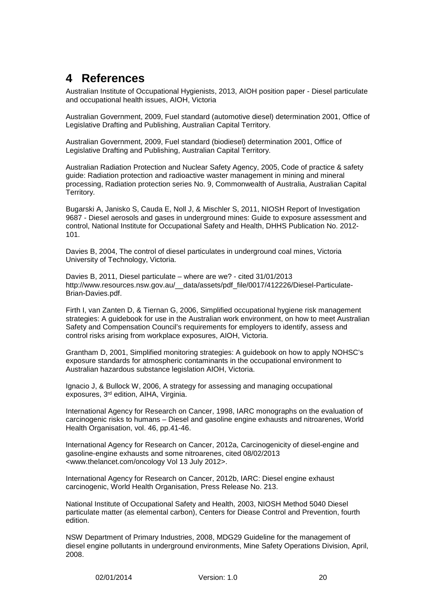# <span id="page-24-0"></span>**4 References**

Australian Institute of Occupational Hygienists, 2013, AIOH position paper - Diesel particulate and occupational health issues, AIOH, Victoria

Australian Government, 2009, Fuel standard (automotive diesel) determination 2001, Office of Legislative Drafting and Publishing, Australian Capital Territory.

Australian Government, 2009, Fuel standard (biodiesel) determination 2001, Office of Legislative Drafting and Publishing, Australian Capital Territory.

Australian Radiation Protection and Nuclear Safety Agency, 2005, Code of practice & safety guide: Radiation protection and radioactive waster management in mining and mineral processing, Radiation protection series No. 9, Commonwealth of Australia, Australian Capital Territory.

Bugarski A, Janisko S, Cauda E, Noll J, & Mischler S, 2011, NIOSH Report of Investigation 9687 - Diesel aerosols and gases in underground mines: Guide to exposure assessment and control, National Institute for Occupational Safety and Health, DHHS Publication No. 2012- 101.

Davies B, 2004, The control of diesel particulates in underground coal mines, Victoria University of Technology, Victoria.

Davies B, 2011, Diesel particulate – where are we? - cited 31/01/2013 http://www.resources.nsw.gov.au/ data/assets/pdf file/0017/412226/Diesel-Particulate-Brian-Davies.pdf.

Firth I, van Zanten D, & Tiernan G, 2006, Simplified occupational hygiene risk management strategies: A guidebook for use in the Australian work environment, on how to meet Australian Safety and Compensation Council's requirements for employers to identify, assess and control risks arising from workplace exposures, AIOH, Victoria.

Grantham D, 2001, Simplified monitoring strategies: A guidebook on how to apply NOHSC's exposure standards for atmospheric contaminants in the occupational environment to Australian hazardous substance legislation AIOH, Victoria.

Ignacio J, & Bullock W, 2006, A strategy for assessing and managing occupational exposures, 3rd edition, AIHA, Virginia.

International Agency for Research on Cancer, 1998, IARC monographs on the evaluation of carcinogenic risks to humans – Diesel and gasoline engine exhausts and nitroarenes, World Health Organisation, vol. 46, pp.41-46.

International Agency for Research on Cancer, 2012a, Carcinogenicity of diesel-engine and gasoline-engine exhausts and some nitroarenes, cited 08/02/2013 <www.thelancet.com/oncology Vol 13 July 2012>.

International Agency for Research on Cancer, 2012b, IARC: Diesel engine exhaust carcinogenic, World Health Organisation, Press Release No. 213.

National Institute of Occupational Safety and Health, 2003, NIOSH Method 5040 Diesel particulate matter (as elemental carbon), Centers for Diease Control and Prevention, fourth edition.

NSW Department of Primary Industries, 2008, MDG29 Guideline for the management of diesel engine pollutants in underground environments, Mine Safety Operations Division, April, 2008.